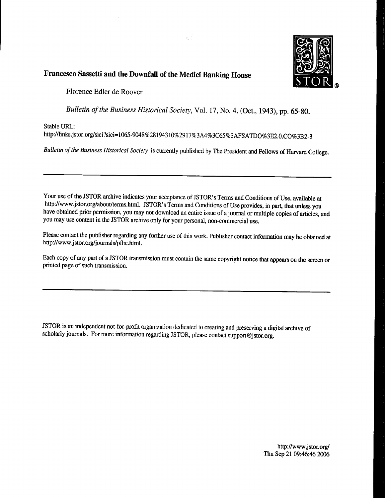

## Francesco Sassetti and the Downfall of the Medici Banking House

Florence Edler de Roover

Bulletin of the Business Historical Society, Vol. 17, No. 4. (Oct., 1943), pp. 65-80.

Stable URL:

http://links.jstor.org/sici?sici=1065-9048%28 1943 10%29 17%3A4%3C65%3AFSATDO%3E2.0,C0%3B2-3

Bulletin of the Business Historical Society is currently published by The President and Fellows of Harvard College.

Your use of the JSTOR archive indicates your acceptance of JSTOR's Terms and Conditions of Use, available at http://www.jstor.org/about/terms.html. JSTOR's Terms and Conditions of Use provides, in part, that unless you hav Francesco Sassetti and the Downfull of the Medici Banking House<br>
Florence Edler de Roover<br>
Florence Edler de Roover<br>
Bulletin of the Business Historical Society, Vol. 17, No. 4. (Oct., 1943), pp. 65-80.<br>
Sable URL:<br>
Sable

Please contact the publisher regarding any further use of this work. Publisher contact information may be obtained at http://www.jstor.org/journals/pfhe.html.

Each copy of any part of a JSTOR transmission must contain the same copyright notice that appears on the screen or printed page of such transmission.

JSTOR is an independent not-for-profit organization dedicated to creating and preserving a digital archive of scholarly journals. For more information regarding JSTOR, please contact support@jstor.org.

www.jstor.org/<br>09:46:46 2006 http://www.jstor.org/ Thu Sep 21 09:46:46 2006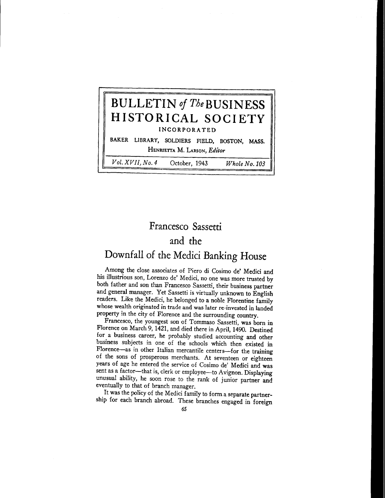

## Francesco Sassetti and the

## Downfall of the Medici Banking House

Among the close associates of Piero di Cosimo de' Medici and<br>his illustrious son, Lorenzo de' Medici, no one was more trusted by<br>both father and son than Francesco Sassetti, their business partner<br>and general manager. Yet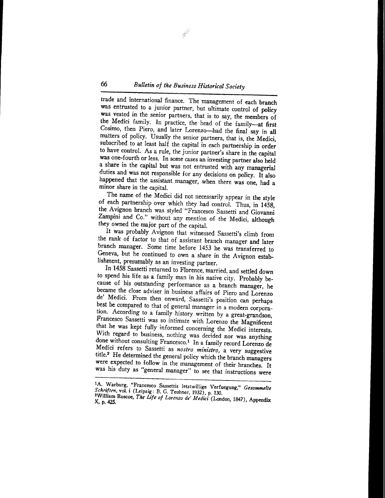trade and international finance. The management of each branch<br>was entrusted to a junior partner, but ultimate control of policy<br>was vested in the senior partners, that is to say, the members of<br>the Medici family. In pract minor share in the capital.<br>The name of the Medici did not necessarily appear in the style

 $\label{eq:20} The  
\n**66** *Bulletin of the Business Historical Society*   
\n**67 and** the an internal frame. The management of each branch was restated to a junior partner, but ultimate control of policy  
\nwas entitled to a junior partner, but ultimate control of policy.  
\nWe Most family. In practice, the basic of the family—at first  
\nthe Medical family. In practice, the data of the family—at first  
\nthe Medical family. In practice, the data in any in all  
\nsubscripted to at least half the capital in each partnership in order  
\nto have control. As a rule, the junior partner's share in the capital  
\nwas one-fourth or less. In some cases an investing partner also held  
\ndutes and was not responsible for any decisions on policy. It also  
\ndutes and was not responsible for$ were expected to follow in the management of their branches. It was his duty as "general manager" to see that instructions were

<sup>&</sup>lt;sup>1</sup>A. Warburg, "Francesco Sassettis letztwillige Verfuegung," Gesammelte Schriften, vol. i (Leipzig: B. G. Teubner, 1932), p. 130. <sup>2W</sup>illiam Roscoe, *The Life of Lorenzo de' Medici* (London, 1847), Appendix X, p. 425.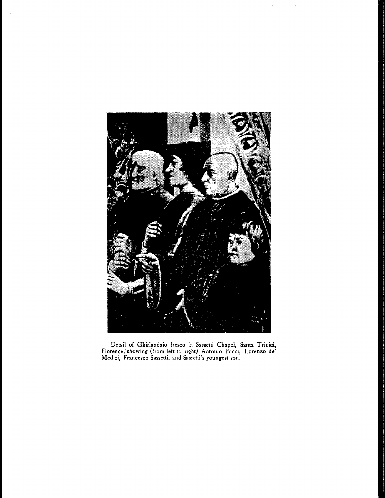

Detail of Ghirlandaio fresco in Sassetti Chapel, Santa Trinità, Florence, showing (from left to right) Antonio Pucci, Lorenzo de'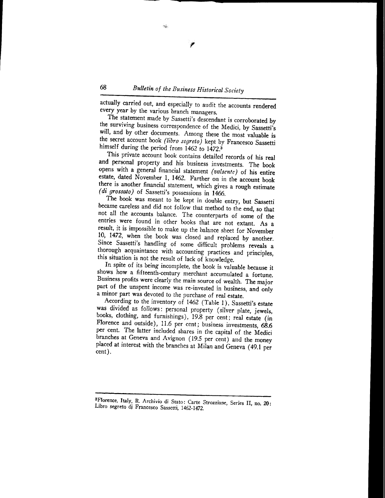actually carried out, and especially to audit the accounts rendered<br>every year by the various branch managers.<br>The statement made by Sassetti's descendant is corroborated by<br>the surviving business correspondence of the Med

the Business Historical Society<br>equestally to antic the accounts reedered<br>we invest interaction in correlation is correlated by Sassetti's descendant is correlated by<br>Or Sassetti's descendant is correlated in the Sassetti entries were found in other books that are not extant. As a result, it is impossible to make up the balance sheet for November 10, 1472, when the book was closed and replaced by another. Since Sassetti's handling of some d **68** Bulletin of the Business Historical Society<br>
actually cradit and expecting the rest of the particular energy year by the various hracestil is descendant is corroborated the acroving business correspondence of the Med

this situation is not the result of lack of knowledge.<br>In spite of its being incomplete, the book is valuable because it<br>shows how a fifteenth-century merchant accumulated a fortune.<br>Business profits were clearly the main cent),

Florence, Italy, R. Archivio di Stato: Carte Strozziane, Series II, no, 20: Libro segreto dj Francesco Sassetti, 1462-1472.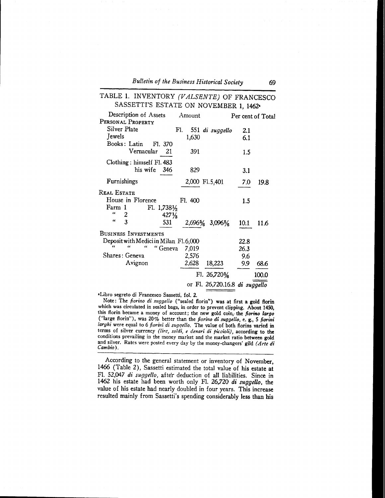| <b>Bulletin of the Business Historical Society</b>                                                                                                                                                                                                                                                                                                                                                                                                                                                                                                                                                                                                                                                                                          |         |                                |      | 69                |
|---------------------------------------------------------------------------------------------------------------------------------------------------------------------------------------------------------------------------------------------------------------------------------------------------------------------------------------------------------------------------------------------------------------------------------------------------------------------------------------------------------------------------------------------------------------------------------------------------------------------------------------------------------------------------------------------------------------------------------------------|---------|--------------------------------|------|-------------------|
| TABLE 1. INVENTORY (VALSENTE) OF FRANCESCO<br>SASSETTI'S ESTATE ON NOVEMBER 1, 1462*                                                                                                                                                                                                                                                                                                                                                                                                                                                                                                                                                                                                                                                        |         |                                |      |                   |
| Description of Assets                                                                                                                                                                                                                                                                                                                                                                                                                                                                                                                                                                                                                                                                                                                       |         |                                |      |                   |
| PERSONAL PROPERTY                                                                                                                                                                                                                                                                                                                                                                                                                                                                                                                                                                                                                                                                                                                           | Amount  |                                |      | Per cent of Total |
| Silver Plate<br>FI.                                                                                                                                                                                                                                                                                                                                                                                                                                                                                                                                                                                                                                                                                                                         |         | 551 di suggello                | 2.1  |                   |
| Jewels<br>Books: Latin<br>F1 370                                                                                                                                                                                                                                                                                                                                                                                                                                                                                                                                                                                                                                                                                                            | 1,630   |                                | 6.1  |                   |
| Vernacular 21                                                                                                                                                                                                                                                                                                                                                                                                                                                                                                                                                                                                                                                                                                                               | 391     |                                | 1.5  |                   |
| Clothing: himself Fl. 483                                                                                                                                                                                                                                                                                                                                                                                                                                                                                                                                                                                                                                                                                                                   |         |                                |      |                   |
| his wife 346                                                                                                                                                                                                                                                                                                                                                                                                                                                                                                                                                                                                                                                                                                                                | 829     |                                | 3.1  |                   |
| Furnishings                                                                                                                                                                                                                                                                                                                                                                                                                                                                                                                                                                                                                                                                                                                                 |         | 2,000 F1.5,401                 | 7.0  | 19.8              |
| <b>REAL ESTATE</b>                                                                                                                                                                                                                                                                                                                                                                                                                                                                                                                                                                                                                                                                                                                          |         |                                |      |                   |
| House in Florence                                                                                                                                                                                                                                                                                                                                                                                                                                                                                                                                                                                                                                                                                                                           | Fl. 400 |                                | 1.5  |                   |
| Farm 1<br>Fl. $1,738\frac{1}{2}$<br>66<br>2<br>$427\frac{1}{3}$                                                                                                                                                                                                                                                                                                                                                                                                                                                                                                                                                                                                                                                                             |         |                                |      |                   |
| "<br>3<br>531                                                                                                                                                                                                                                                                                                                                                                                                                                                                                                                                                                                                                                                                                                                               |         | 2,696% 3,096%                  | 10.1 | 11.6              |
| <b>BUSINESS INVESTMENTS</b>                                                                                                                                                                                                                                                                                                                                                                                                                                                                                                                                                                                                                                                                                                                 |         |                                |      |                   |
| Deposit with Medici in Milan Fl.6,000                                                                                                                                                                                                                                                                                                                                                                                                                                                                                                                                                                                                                                                                                                       |         |                                | 22.8 |                   |
| $\epsilon\epsilon$<br>" Geneva                                                                                                                                                                                                                                                                                                                                                                                                                                                                                                                                                                                                                                                                                                              | 7,019   |                                | 26.3 |                   |
| Shares: Geneva<br>Avignon                                                                                                                                                                                                                                                                                                                                                                                                                                                                                                                                                                                                                                                                                                                   | 2,576   | 2,628 18,223                   | 9.6  |                   |
|                                                                                                                                                                                                                                                                                                                                                                                                                                                                                                                                                                                                                                                                                                                                             |         |                                | 9.9  | 68.6              |
|                                                                                                                                                                                                                                                                                                                                                                                                                                                                                                                                                                                                                                                                                                                                             |         | Fl. $26,720\%$                 |      | 100.0             |
|                                                                                                                                                                                                                                                                                                                                                                                                                                                                                                                                                                                                                                                                                                                                             |         | or Fl. 26,720.16.8 di suggello |      |                   |
| <sup>a</sup> Libro segreto di Francesco Sassetti, fol. 2.<br>Note: The fiorino di suggello ("sealed florin") was at first a gold florin<br>which was circulated in sealed bags, in order to prevent clipping. About 1450,<br>this florin became a money of account; the new gold coin, the fiorino largo<br>("large florin"), was 20% better than the fiorino di suggello, e. g., 5 fiorini<br>larghi were equal to 6 fiorini di suggello. The value of both florins varied in<br>terms of silver currency (lire, soldi, e denari di piccioli), according to the<br>conditions prevailing in the money market and the market ratio between gold<br>and silver. Rates were posted every day by the money-changers' gild (Arte di<br>Cambio). |         |                                |      |                   |

Note: The fiorino di suggello ("sealed florin") was at first a gold florin which was circulated in sealed bags, in order to prevent clipping. About 1450, this florin became a money of account; the new gold coin, the fiorino largo ("large florin"), was  $20\%$  better than the fiorino di suggello, e. g., 5 fiorini larghi were equal to 6 fiorini di suggello. The value of both florins varied in terms of silver currency *(lire, soldi, e denari di piccioli)*, according to the conditions prevailing in the money market and the market ratio between gold and silver. Rates were posted every day by the money-changers' g Cambio). 

According to the general statement or inventory of November, <sup>1466</sup> (Table 2), Sassetti estimated the total value of his estate at Fl. 52,047 di suggello, after deduction of all liabilities. Since in 1462 his estate had been worth only Fl. 26,720 di suggello, the value of his estate had nearly doubled in four years. This increase resulted mainly from Sassetti's spending considerably less than his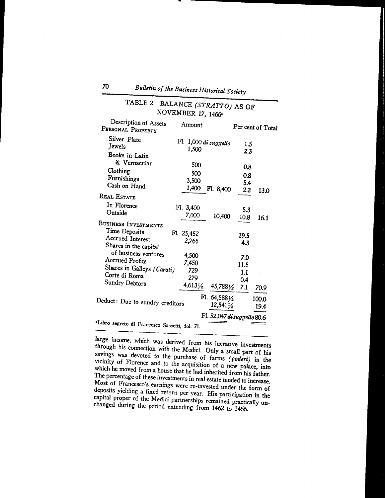## TABLE 2. BALANCE (STRATTO) AS OF NOVEMBER 17, 1466

| 70                                              |                            | <b>Bulletin of the Business Historical Society</b>                                                                                                                                                                                                                                                                                                                                                                                                                                                                                                                                                                                                                                              |                            |             |                   |
|-------------------------------------------------|----------------------------|-------------------------------------------------------------------------------------------------------------------------------------------------------------------------------------------------------------------------------------------------------------------------------------------------------------------------------------------------------------------------------------------------------------------------------------------------------------------------------------------------------------------------------------------------------------------------------------------------------------------------------------------------------------------------------------------------|----------------------------|-------------|-------------------|
|                                                 |                            | TABLE 2. BALANCE (STRATTO) AS OF<br>NOVEMBER 17, 1466 <sup>*</sup>                                                                                                                                                                                                                                                                                                                                                                                                                                                                                                                                                                                                                              |                            |             |                   |
| PERSONAL PROPERTY                               | Description of Assets      | Amount                                                                                                                                                                                                                                                                                                                                                                                                                                                                                                                                                                                                                                                                                          |                            |             | Per cent of Total |
| Silver Plate<br>Jewels                          |                            | Fl. 1,000 di suggello<br>1,500                                                                                                                                                                                                                                                                                                                                                                                                                                                                                                                                                                                                                                                                  |                            | 1.5         |                   |
| Books in Latin                                  | & Vernacular               |                                                                                                                                                                                                                                                                                                                                                                                                                                                                                                                                                                                                                                                                                                 |                            | 2.3         |                   |
| Clothing<br>Furnishings                         |                            | 500<br>500                                                                                                                                                                                                                                                                                                                                                                                                                                                                                                                                                                                                                                                                                      |                            | 0.8<br>0.8  |                   |
| Cash on Hand                                    |                            | 3,500<br>1,400                                                                                                                                                                                                                                                                                                                                                                                                                                                                                                                                                                                                                                                                                  | FI. 8,400                  | 5.4<br>2.2  | 13.0              |
| <b>REAL ESTATE</b><br>In Florence               |                            | Fl. 3,400                                                                                                                                                                                                                                                                                                                                                                                                                                                                                                                                                                                                                                                                                       |                            | 5.3         |                   |
| Outside<br>BUSINESS INVESTMENTS                 |                            | 7,000                                                                                                                                                                                                                                                                                                                                                                                                                                                                                                                                                                                                                                                                                           | 10,400                     | 10.8        | 16.1              |
| Time Deposits<br>Accrued Interest               |                            | Fl. 25,452<br>2,765                                                                                                                                                                                                                                                                                                                                                                                                                                                                                                                                                                                                                                                                             |                            | 39.5<br>4.3 |                   |
| Shares in the capital<br><b>Accrued Profits</b> | of business ventures       | 4,500<br>7,450                                                                                                                                                                                                                                                                                                                                                                                                                                                                                                                                                                                                                                                                                  |                            | 7.0         |                   |
|                                                 | Shares in Galleys (Carati) | 729                                                                                                                                                                                                                                                                                                                                                                                                                                                                                                                                                                                                                                                                                             |                            | 11.5<br>1.1 |                   |
| Corte di Roma<br>Sundry Debtors                 |                            | 279<br>4,6131/2                                                                                                                                                                                                                                                                                                                                                                                                                                                                                                                                                                                                                                                                                 | 45,7881/2                  | 0.4<br>7.1  | 70.9              |
| Deduct: Due to sundry creditors                 |                            |                                                                                                                                                                                                                                                                                                                                                                                                                                                                                                                                                                                                                                                                                                 | Fl. 64,5881/2<br>12,5411/2 |             | 100.0<br>19.4     |
| "Libro segreto di Francesco Sassetti, fol. 71.  |                            |                                                                                                                                                                                                                                                                                                                                                                                                                                                                                                                                                                                                                                                                                                 | Fl. 52,047 disuggello 80.6 |             |                   |
|                                                 |                            | large income, which was derived from his lucrative investments<br>through his connection with the Medici. Only a small part of his<br>savings was devoted to the purchase of farms (poderi) in the<br>vicinity of Florence and to the acquisition of a new palace, into<br>which he moved from a house that he had inherited from his father.<br>The percentage of these investments in real estate tended to increase.<br>Most of Francesco's earnings were re-invested under the form of<br>leposits yielding a fixed return per year. His participation in the<br>apital proper of the Medici partnerships remained practically un-<br>hanged during the period extending from 1462 to 1466. |                            |             |                   |
|                                                 |                            |                                                                                                                                                                                                                                                                                                                                                                                                                                                                                                                                                                                                                                                                                                 |                            |             |                   |
|                                                 |                            |                                                                                                                                                                                                                                                                                                                                                                                                                                                                                                                                                                                                                                                                                                 |                            |             |                   |
|                                                 |                            |                                                                                                                                                                                                                                                                                                                                                                                                                                                                                                                                                                                                                                                                                                 |                            |             |                   |
|                                                 |                            |                                                                                                                                                                                                                                                                                                                                                                                                                                                                                                                                                                                                                                                                                                 |                            |             |                   |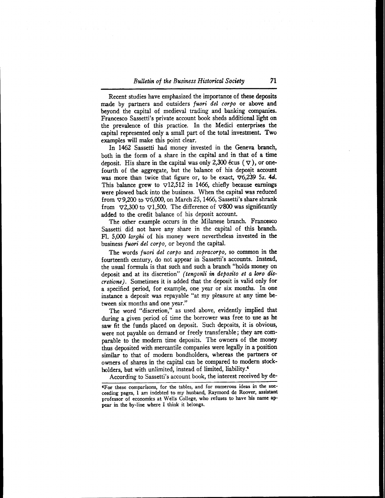Recent studies have emphasized the importance of these deposits made by partners and outsiders fuori del corpo or above and beyond the capital of medieval trading and banking companies. Francesco Sassetti's private account book sheds additional light on the prevalence of this practice. In the Medici enterprises the capital represented only a small part of the total investment. Two examples will make this point clear.

In 1462 Sassetti had money invested in the Geneva branch, both in the form of a share in the capital and in that of a time deposit. His share in the capital was only 2,300 écus ( $\nabla$ ), or onefourth of the aggregate, but the balance of his deposit account was more than twice that figure or, to be exact,  $\nabla 6,239$  5s. 4d. This balance grew to  $\nabla$ 12,512 in 1466, chiefly because earnings were plowed back into the business. When the capital was reduced from,  $\nabla$ 9,200 to  $\nabla$ 6,000, on March 25, 1466, Sassetti's share shrank from  $\nabla^2$ , 300 to  $\nabla^1$ , 500. The difference of  $\nabla^2$ 800 was significantly added to the credit balance of his deposit account. Bulletin of the Business Historical Society 71<br>Recent studies have emphasized the importance of these deposits<br>beyond the capital of medievist radio can alone and busine companies.<br>Francesco Sassetti's private account boo Building of the Ownstein Fluoristic Screen in the by-line state of the by-line state of the by-line state of the by-line state of the by-line state of the by-line state of the by-line state of the by-line state of the by-

The other example occurs in the Milanese branch. Francesco Sassetti did not have any share in the capital of this branch. Fl. 5,000 larghi of his money were nevertheless invested in the business fuori del corpo, or beyond the capital.

The words fuori del corpo and sopracorpo, so common in the fourteenth century, do not appear in Sassetti's accounts. Instead, the usual formula is that such and such a branch "holds money on deposit and at its discretion" (tengonli in deposito et a loro discretione). Sometimes it is added that the deposit is valid only for a specified period, for example, one year or six months. In one instance a deposit was repayable "at my pleasure at any time between six months and one year."

The word "discretion," as used above, evidently implied that during a given period of time the borrower was free to use as he saw fit the funds placed on deposit. Such deposits, it is obvious, were not payable on demand or freely transferable; they are comparable to the modern time deposits. The owners of the money thus deposited with mercantile companies werelegally in a position similar to that of modern bondholders, whereas the partners or owners of shares in the capital can be compared to modern stockholders, but with unlimited, instead of limited, liability.<sup>4</sup><br>According to Sassetti's account book, the interest received by de-

the contract of the contract of the

<sup>4</sup>For these comparisons, for the tables, and for numerous ideas in the succeeding pages, 1 am indebted to my husband, Raymond de Roover, assistant professor of economics at Wells College, who refuses to have his name ap-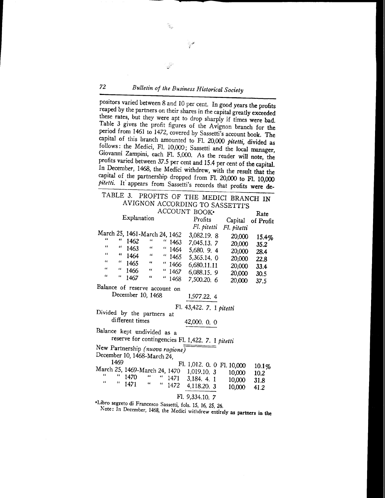<sup>2</sup><br>32<br>Bulletin of the Business Historical Society 72 Bulletin of the Business Historical Society

| ्<br>पुरुष<br>P<br>72<br>Bulletin of the Business Historical Society<br>positors varied between 8 and 10 per cent. In good years the profits<br>reaped by the partners on their shares in the capital greatly exceeded<br>these rates, but they were apt to drop sharply if times were bad.<br>Table 3 gives the profit figures of the Avignon branch for the<br>period from 1461 to 1472, covered by Sassetti's account book. The<br>capital of this branch amounted to Fl. 20,000 pitetti, divided as<br>follows: the Medici, Fl. 10,000; Sassetti and the local manager,<br>Giovanni Zampini, each Fl. 5,000. As the reader will note, the<br>profits varied between 37.5 per cent and 15.4 per cent of the capital.<br>In December, 1468, the Medici withdrew, with the result that the<br>capital of the partnership dropped from Fl. 20,000 to Fl. 10,000<br>pitetti. It appears from Sassetti's records that profits were de-<br>TABLE 3.<br>PROFITS OF THE MEDICI BRANCH IN<br>AVIGNON ACCORDING TO SASSETTI'S<br>ACCOUNT BOOK <sup>®</sup><br>Rate<br>Explanation<br>Profits<br>Capital<br>of Profit<br>Fl. pitetti<br>Fl. pitetti<br>March 25, 1461-March 24, 1462<br>3,082.19.8<br>20,000<br>15.4%<br>"<br>"<br>1462<br>16<br>$\epsilon$<br>1463<br>7,045.13. 7<br>20,000<br>35.2<br>"<br>"<br>1463<br>ш<br>$\alpha$<br>1464<br>5,680, 9, 4<br>20,000<br>28.4<br>"<br>66<br>1464<br>"<br>$\alpha$<br>1465<br>5,365.14.0<br>20,000<br>22.8<br>$\epsilon$<br>66<br>1465<br>"<br>66.<br>1466<br>6,680.11.11<br>20,000<br>33.4<br>"<br>46<br>1466<br>66<br>$\ddot{\phantom{0}}$<br>1467<br>6,088.15.9<br>20,000<br>30.5<br>"<br>"<br>1467<br>"<br>"<br>1468<br>7,500.20.6<br>20,000<br>37.5<br>Balance of reserve account on<br>December 10, 1468<br>1,977.22.4<br>Fl. 43,422. 7. 1 pitetti<br>different times<br>42,000. 0. 0<br>reserve for contingencies Fl. 1,422. 7. 1 pitetti<br>1469<br>Fl. 1,012. 0. 0 Fl. 10,000<br>10.1%<br>1,019.10. 3<br>10,000<br>10.2<br>66<br>"<br>1470<br>66<br>" 1471<br>3,184. 4. 1<br>10,000<br>31.8<br>$\mathbf{G}$<br>"<br>1471<br>"<br>" 1472<br>4,118.20. 3<br>10,000<br>41.2<br>F1. 9,334.10. 7<br>Note: In December, 1468, the Medici withdrew entirely as partners in the |  |  |
|----------------------------------------------------------------------------------------------------------------------------------------------------------------------------------------------------------------------------------------------------------------------------------------------------------------------------------------------------------------------------------------------------------------------------------------------------------------------------------------------------------------------------------------------------------------------------------------------------------------------------------------------------------------------------------------------------------------------------------------------------------------------------------------------------------------------------------------------------------------------------------------------------------------------------------------------------------------------------------------------------------------------------------------------------------------------------------------------------------------------------------------------------------------------------------------------------------------------------------------------------------------------------------------------------------------------------------------------------------------------------------------------------------------------------------------------------------------------------------------------------------------------------------------------------------------------------------------------------------------------------------------------------------------------------------------------------------------------------------------------------------------------------------------------------------------------------------------------------------------------------------------------------------------------------------------------------------------------------------------------------------------------------------------------------------------------------------------------------------------------------------------------------------------------------------------------------------------------------|--|--|
|                                                                                                                                                                                                                                                                                                                                                                                                                                                                                                                                                                                                                                                                                                                                                                                                                                                                                                                                                                                                                                                                                                                                                                                                                                                                                                                                                                                                                                                                                                                                                                                                                                                                                                                                                                                                                                                                                                                                                                                                                                                                                                                                                                                                                            |  |  |
| Balance kept undivided as a<br>New Partnership (nuova ragione)<br>December 10, 1468-March 24,                                                                                                                                                                                                                                                                                                                                                                                                                                                                                                                                                                                                                                                                                                                                                                                                                                                                                                                                                                                                                                                                                                                                                                                                                                                                                                                                                                                                                                                                                                                                                                                                                                                                                                                                                                                                                                                                                                                                                                                                                                                                                                                              |  |  |
| Divided by the partners at<br>March 25, 1469-March 24, 1470                                                                                                                                                                                                                                                                                                                                                                                                                                                                                                                                                                                                                                                                                                                                                                                                                                                                                                                                                                                                                                                                                                                                                                                                                                                                                                                                                                                                                                                                                                                                                                                                                                                                                                                                                                                                                                                                                                                                                                                                                                                                                                                                                                |  |  |
|                                                                                                                                                                                                                                                                                                                                                                                                                                                                                                                                                                                                                                                                                                                                                                                                                                                                                                                                                                                                                                                                                                                                                                                                                                                                                                                                                                                                                                                                                                                                                                                                                                                                                                                                                                                                                                                                                                                                                                                                                                                                                                                                                                                                                            |  |  |
| "Libro segreto di Francesco Sassetti, fols. 15, 16, 25, 26.                                                                                                                                                                                                                                                                                                                                                                                                                                                                                                                                                                                                                                                                                                                                                                                                                                                                                                                                                                                                                                                                                                                                                                                                                                                                                                                                                                                                                                                                                                                                                                                                                                                                                                                                                                                                                                                                                                                                                                                                                                                                                                                                                                |  |  |
|                                                                                                                                                                                                                                                                                                                                                                                                                                                                                                                                                                                                                                                                                                                                                                                                                                                                                                                                                                                                                                                                                                                                                                                                                                                                                                                                                                                                                                                                                                                                                                                                                                                                                                                                                                                                                                                                                                                                                                                                                                                                                                                                                                                                                            |  |  |
|                                                                                                                                                                                                                                                                                                                                                                                                                                                                                                                                                                                                                                                                                                                                                                                                                                                                                                                                                                                                                                                                                                                                                                                                                                                                                                                                                                                                                                                                                                                                                                                                                                                                                                                                                                                                                                                                                                                                                                                                                                                                                                                                                                                                                            |  |  |
|                                                                                                                                                                                                                                                                                                                                                                                                                                                                                                                                                                                                                                                                                                                                                                                                                                                                                                                                                                                                                                                                                                                                                                                                                                                                                                                                                                                                                                                                                                                                                                                                                                                                                                                                                                                                                                                                                                                                                                                                                                                                                                                                                                                                                            |  |  |
|                                                                                                                                                                                                                                                                                                                                                                                                                                                                                                                                                                                                                                                                                                                                                                                                                                                                                                                                                                                                                                                                                                                                                                                                                                                                                                                                                                                                                                                                                                                                                                                                                                                                                                                                                                                                                                                                                                                                                                                                                                                                                                                                                                                                                            |  |  |
|                                                                                                                                                                                                                                                                                                                                                                                                                                                                                                                                                                                                                                                                                                                                                                                                                                                                                                                                                                                                                                                                                                                                                                                                                                                                                                                                                                                                                                                                                                                                                                                                                                                                                                                                                                                                                                                                                                                                                                                                                                                                                                                                                                                                                            |  |  |
|                                                                                                                                                                                                                                                                                                                                                                                                                                                                                                                                                                                                                                                                                                                                                                                                                                                                                                                                                                                                                                                                                                                                                                                                                                                                                                                                                                                                                                                                                                                                                                                                                                                                                                                                                                                                                                                                                                                                                                                                                                                                                                                                                                                                                            |  |  |
|                                                                                                                                                                                                                                                                                                                                                                                                                                                                                                                                                                                                                                                                                                                                                                                                                                                                                                                                                                                                                                                                                                                                                                                                                                                                                                                                                                                                                                                                                                                                                                                                                                                                                                                                                                                                                                                                                                                                                                                                                                                                                                                                                                                                                            |  |  |
|                                                                                                                                                                                                                                                                                                                                                                                                                                                                                                                                                                                                                                                                                                                                                                                                                                                                                                                                                                                                                                                                                                                                                                                                                                                                                                                                                                                                                                                                                                                                                                                                                                                                                                                                                                                                                                                                                                                                                                                                                                                                                                                                                                                                                            |  |  |
|                                                                                                                                                                                                                                                                                                                                                                                                                                                                                                                                                                                                                                                                                                                                                                                                                                                                                                                                                                                                                                                                                                                                                                                                                                                                                                                                                                                                                                                                                                                                                                                                                                                                                                                                                                                                                                                                                                                                                                                                                                                                                                                                                                                                                            |  |  |
|                                                                                                                                                                                                                                                                                                                                                                                                                                                                                                                                                                                                                                                                                                                                                                                                                                                                                                                                                                                                                                                                                                                                                                                                                                                                                                                                                                                                                                                                                                                                                                                                                                                                                                                                                                                                                                                                                                                                                                                                                                                                                                                                                                                                                            |  |  |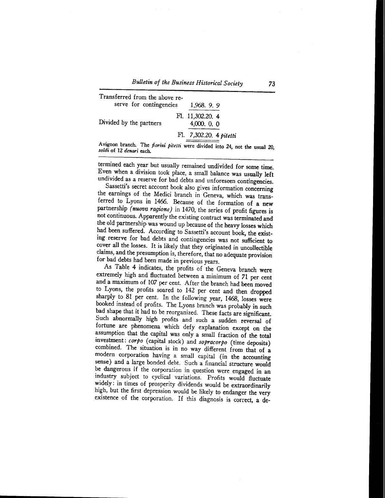| $\mathcal{L}^{\mathcal{L}}$ and $\mathcal{L}^{\mathcal{L}}$ are the set of the set of $\mathcal{L}^{\mathcal{L}}$ |                                                                                     |
|-------------------------------------------------------------------------------------------------------------------|-------------------------------------------------------------------------------------|
|                                                                                                                   | $\mathcal{L}^{\text{max}}_{\text{max}}$ and $\mathcal{L}^{\text{max}}_{\text{max}}$ |
|                                                                                                                   |                                                                                     |
|                                                                                                                   |                                                                                     |
|                                                                                                                   | Bulletin of the Business Historical Society<br>73                                   |
| Transferred from the above re-<br>serve for contingencies                                                         | 1,968. 9. 9                                                                         |
| Divided by the partners                                                                                           | Fl. 11,302.20. 4<br>4,000. 0. 0                                                     |
| Avignon branch. The <i>fiorini pitetti</i> were divided into 24, not the usual 20                                 | Fl. 7,302.20. 4 pitetti                                                             |
| soldi of 12 denari each.                                                                                          |                                                                                     |
| termined each vear but usually remained undivided to                                                              |                                                                                     |

termined each year but usually remained undivided for some time.<br>Even when a division took place, a small balance was usually left<br>undivided as a reserve fore had debts and unforeseen contingencies.<br>Sassetti's secret acco combined. The situation is in no way different from that of a modern corporation having a small capital (in the accounting sense) and a large bonded debt. Such a financial structure would As Table 4 indicates, the profils of the Geneva branch were<br>externely high and fluctuated between a minimum of 71 per cent<br>and a maximum of 107 per cent, After the branch had been moved<br>of a per cent of 107 per cent. The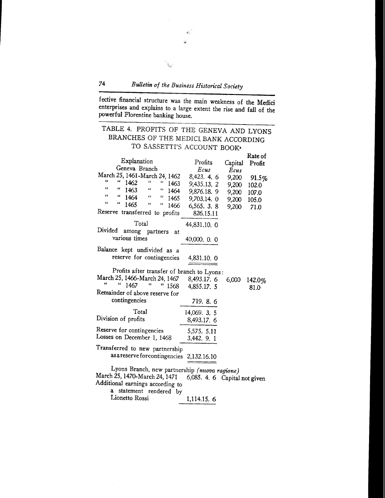Fective financial structure was the main weakness of the Medici enterprises and explains to a large extent the rise and fall of the moverful Florentine banking house. enterprises and explains to a large extent the rise and fall of the powerful Florentine banking house.

| TABLE 4. PROFITS OF THE GENEVA AND LYONS                           |                               |         |         |
|--------------------------------------------------------------------|-------------------------------|---------|---------|
| BRANCHES OF THE MEDICI BANK ACCORDING                              |                               |         |         |
| TO SASSETTI'S ACCOUNT BOOK*                                        |                               |         |         |
|                                                                    |                               |         | Rate of |
| Explanation                                                        | Profits                       | Capital | Profit  |
| Geneva Branch                                                      | Ecus                          | Ecus    |         |
| March 25, 1461-March 24, 1462                                      | 8,423. 4. 6                   | 9,200   | 91.5%   |
| $\epsilon$<br>$\epsilon$<br>1462<br>66.<br>"<br>1463<br>$\epsilon$ | 9,435.13.2                    | 9,200   | 102.0   |
| 66<br>1463<br>$\alpha$<br>ц<br>1464<br>"<br>$\epsilon$             | 9,876.18.9                    | 9,200   | 107.0   |
| 1464<br>$\mathcal{U}_{\mathbb{C}}$<br>46<br>1465<br>t t<br>"       | 9,703.14.0                    | 9,200   | 105.0   |
| $\boldsymbol{\epsilon}$<br>1465<br>"<br>1466                       | 6,565. 3. 8                   | 9,200   | 71.0    |
| Reserve transferred to profits                                     | 826.15.11                     |         |         |
| Total                                                              | 44,831.10. 0                  |         |         |
| Divided<br>among partners<br>at                                    |                               |         |         |
| various times                                                      | 40,000. 0. 0                  |         |         |
| Balance kept undivided as a                                        |                               |         |         |
| reserve for contingencies                                          | 4,831.10.0                    |         |         |
|                                                                    |                               |         |         |
| Profits after transfer of branch to Lyons:                         |                               |         |         |
| March 25, 1466-March 24, 1467                                      | 8,493.17.6                    | 6,000   | 142.0%  |
| "<br>1467<br>66<br>" 1568                                          | 4,855.17.5                    |         | 81.0    |
| Remainder of above reserve for                                     |                               |         |         |
| contingencies                                                      | 719. 8. 6                     |         |         |
| Total                                                              | 14,069. 3. 5                  |         |         |
| Division of profits                                                | 8,493.17.6                    |         |         |
| Reserve for contingencies                                          | 5,575. 5.11                   |         |         |
| Losses on December 1, 1468                                         | 3,442. 9. 1                   |         |         |
|                                                                    |                               |         |         |
| Transferred to new partnership                                     |                               |         |         |
| as a reserve for contingencies                                     | 2,132.16.10                   |         |         |
| Lyons Branch, new partnership (nuova ragione)                      |                               |         |         |
| March 25, 1470-March 24, 1471                                      | 6,085. 4. 6 Capital not given |         |         |
| Additional earnings according to                                   |                               |         |         |
| statement rendered by<br>a                                         |                               |         |         |
| Lionetto Rossi                                                     | 1,114.15.6                    |         |         |
|                                                                    |                               |         |         |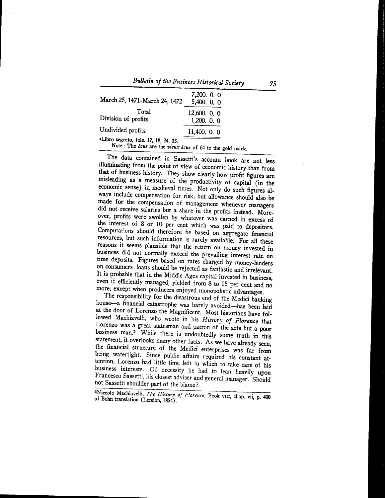|                                                                                                    | $\mathcal{O}(\mathcal{O}(1000) \times 10^{100} \, \mathrm{Gyr})$ . The second contract of the second second |    |
|----------------------------------------------------------------------------------------------------|-------------------------------------------------------------------------------------------------------------|----|
|                                                                                                    |                                                                                                             |    |
|                                                                                                    |                                                                                                             |    |
|                                                                                                    |                                                                                                             |    |
|                                                                                                    |                                                                                                             |    |
|                                                                                                    |                                                                                                             |    |
|                                                                                                    | Bulletin of the Business Historical Society                                                                 | 75 |
|                                                                                                    | 7,200. 0. 0                                                                                                 |    |
| March 25, 1471-March 24, 1472<br>Total                                                             | 5,400. 0. 0                                                                                                 |    |
| Division of profits                                                                                | 12,600. 0. 0<br>1,200. 0. 0                                                                                 |    |
| Undivided profits                                                                                  | 11,400. 0. 0                                                                                                |    |
| *Libro segreto, fols. 17, 18, 24, 33.<br>Note: The écus are the vieux écus of 64 to the gold mark. |                                                                                                             |    |

The data contained in Sassetti's account book are not less<br>illuminating from the piot of view of economic history than from<br>the piot of view of economic bistory than from<br>misleading as a measure of the productivity of cap

at ite door of Lorenzo the Magnificent. Most historians have followed Machiavelli, who wrote in his *History of Florence* that the nobustness man.<sup>5</sup> While there is undoubtedly some truth in this statement, it overlooks ma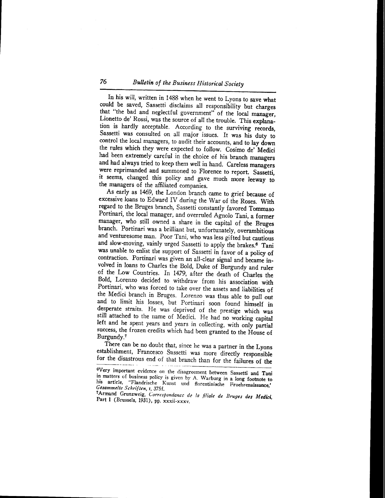In his will, written in 1488 when he went to Lyons to save what<br>could be saved. Sassetti disclarins all responsibility but charger,<br>Lionetto de' Rossi, was the source of all the trouble. This explana-<br>Lionetto de' Rossi, w left and he spent years and years in collecting, with only partial<br>success, the frozen credits which had been granted to the House of<br>Burgundy.<sup>7</sup><br>There can be no doubt that, since he was a partner in the Lyons<br>establishme As early as 1469, the London branch came to grief because of<br>exersive loans to Edward IV during the War of the Roses. Wit<br>regard to the Bruges branch, Sassetti constantly favored Tormans<br>regard to the Bruges branch, Saset and to limit in some such that in some such that the pull out<br>and to limit his losses, but Portinari soon found himself in<br>desperate straits. He was deprived of the preside which was<br>still attached to the name of Medici.

There can be no doubt that, since he was a partner in the Lyons for the disastrous end of that branch than for the failures of the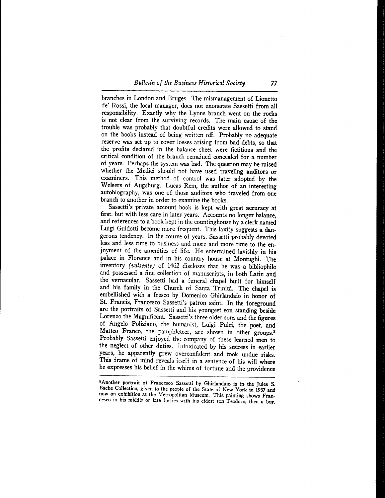branches in London and Bruges. The mismanagement of Lionetto de' Rossi, the local manager, does not exonerate Sassetti from all responsibility. Exactly why the Lyons branch went on the rocks is not clear from the surviving records. The main cause of the trouble was probably that doubtful credits were allowed to stand on the books instead of being written off. Probably no adequate reserve was set up to cover losses arising from bad debts, so that the profits declared in the balance sheet were fictitious and the critical condition of the branch remained concealed for a number of years. Perhaps the system was bad. The question may be raised whether the Medici should not have used traveling auditors or examiners. This method of control was later adopted by the Welsers of Augsburg. Lucas Rem, the author of an interesting autobiography, was one of those auditors who traveled from one branch to another in order to examine the books.

Sassetti's private account book is kept with great accuracy at first, but with less care in later years. Accounts no longer balance, and references to <sup>a</sup> book kept in the countinghouse by <sup>a</sup> clerk named Luigi Guidotti become more frequent. This laxity suggests a dan gerous tendency. In the course of years, Sassetti probably devoted less and less time to business and more and more time to the en- joyment of the amenities of life. He entertained lavishly in his palace in Florence and in his country house at Montughi. The inventory (valsente) of 1462 discloses that he was a bibliophile and possessed a fine collection of manuscripts, in both Latin and the vernacular. Sassetti had a funeral chapel built for himself and his family in the Church of Santa Trinità. The chapel is embellished with a fresco by Domenico Ghirlandaio in honor of St. Francis, Francesco Sassetti's patron saint. In the foreground are the portraits of Sassetti and his youngest son standing beside Lorenzo the Magnificent. Sassetti's three older sons and the figures of Angelo Poliziano, the humanist, Luigi Pulci, the poet, and<br>Matteo Franco, the pamphleteer, are shown in other groups.<sup>8</sup><br>Probably Sassetti enjoyed the company of these learned men to<br>the neglect of other duties. Intoxic Bulletin of the Business Historical Society 77<br>
branchs: In London and Bruges. The minimar<br>ageneemt of Londthert Ross, the boxin in the column responsibility. Exactly why the Lyons branch went on the rock<br>is not clear fro This frame of mind reveals itself in a sentence of his will where<br>he expresses his belief in the whims of fortune and the providence

<sup>&</sup>lt;sup>8</sup>Another portrait of Francesco Sassetti by Ghirlandaio is in the Jules S.<br>Bache Collection, given to the people of the State of New York in 1937 and<br>now on exhibition at the Metropolitan Museum. This painting shows Fran-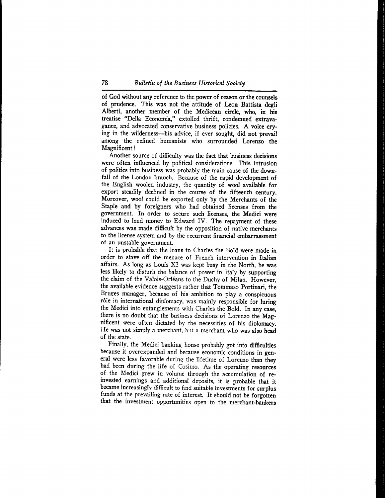of God without any reference to the power of reason or the counsels of prudence. This was not the attitude of Leon Battista degli Alberti, another member of the Medicean circle, who, in his treatise "Della Economia," extolled thrift, condemned extravagance, and advocated conservative business policies. A voice crying in the wilderness—his advice, if ever sought, did not prevail among the refined humanists who surrounded Lorenzo the Magnificent!

Another source of difficulty was the fact that business decisions were often influenced by political considerations. This intrusion of politics into business was probably the main cause of the downfall of the London branch, Because of the rapid development of the English woolen industry, the quantity of wool available for export steadily declined in the course of the fifteenth century. Moreover, wool could be exported only by the Merchants of the Staple and by foreigners who had obtained licenses from the government. In order to secure such licenses, the Medici were induced to lend money to Edward IV. The repayment of these advances was made difficult by the opposition of native merchants to the license system and by the recurrent financial embarrassment of an unstable government.

It is probable that the loans to Charles the Bold were made in order to stave off the menace of French intervention in Italian affairs. As long as Louis XI was kept busy in the North, he was less likely to disturb the balance of power in Italy by supporting the claim of the Valois-Orléans to the Duchy of Milan. However, the available evidence suggests rather that Tommaso Portinari, the Bruges manager, because of his ambition to play a conspicuous rôle in international diplomacy, was mainly responsible for luring the Medici into entanglements with Charles the Bold. In any case, there is no doubt that the business decisions of Lorenzo the Magnificent were often dictated by the necessities of his diplomacy. He was not simply <sup>a</sup> merchant, but <sup>a</sup> merchant who was also head of the state,

Finally, the Medici banking house probably got into difficulties because it overexpanded and because economic conditions in gen eral were less favorable during the lifetime of Lorenzo than they had been during the life of Cosimo. As the operating resources of the Medici grew in volume through the accumulation of re invested earnings and additional deposits, it is probable that it became increasingly difficult to find suitable investments for surplus funds at the prevailing rate of interest. It should not be forgotten that the investment opportunities open to the merchant-bankers

**Contract Contract Contract Contract**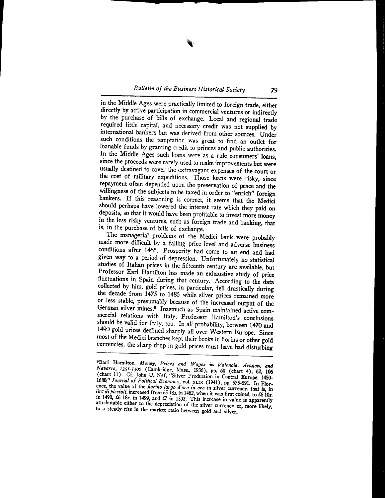**Example 2.** All the primary of the primary Education Chinese the control of the state of the state of the state of the state of the state of the state of the state of the state of the state of the state of the state of t in the Middle Ages were practically limited to foreign trade, either directly by active participation in commercial ventures or indirectly by the purchase of bills of exchange. Local and segonal trade respublied by requir 

most of the Medici branches kept their books in florins or other gold currencies, the sharp drop in gold prices must have had disturbing

<sup>&</sup>lt;sup>9</sup>Earl Hamilton. *Money*, *Prices and Wages in Valencia, Aragon, and Navarre, 1351-1500* (Cambridge, Mass., 1936), pp. 60 (chart 4), 62, 106 (chart 11). Cf. John U. Nef, "Silver Production in Central Europe, 1450-1680,"